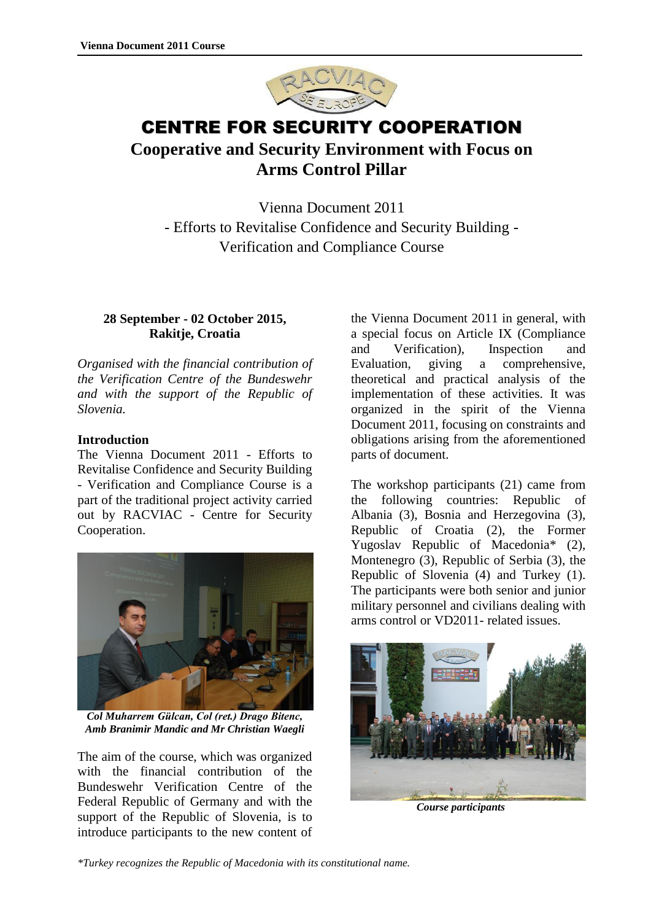

# CENTRE FOR SECURITY COOPERATION **Cooperative and Security Environment with Focus on Arms Control Pillar**

Vienna Document 2011 - Efforts to Revitalise Confidence and Security Building - Verification and Compliance Course

# **28 September - 02 October 2015, Rakitje, Croatia**

*Organised with the financial contribution of the Verification Centre of the Bundeswehr and with the support of the Republic of Slovenia.*

### **Introduction**

The Vienna Document 2011 - Efforts to Revitalise Confidence and Security Building - Verification and Compliance Course is a part of the traditional project activity carried out by RACVIAC - Centre for Security Cooperation.



*Col Muharrem Gülcan, Col (ret.) Drago Bitenc, Amb Branimir Mandic and Mr Christian Waegli*

The aim of the course, which was organized with the financial contribution of the Bundeswehr Verification Centre of the Federal Republic of Germany and with the support of the Republic of Slovenia, is to introduce participants to the new content of

the Vienna Document 2011 in general, with a special focus on Article IX (Compliance and Verification), Inspection and Evaluation, giving a comprehensive, theoretical and practical analysis of the implementation of these activities. It was organized in the spirit of the Vienna Document 2011, focusing on constraints and obligations arising from the aforementioned parts of document.

The workshop participants (21) came from the following countries: Republic of Albania (3), Bosnia and Herzegovina (3), Republic of Croatia (2), the Former Yugoslav Republic of Macedonia\* (2), Montenegro (3), Republic of Serbia (3), the Republic of Slovenia (4) and Turkey (1). The participants were both senior and junior military personnel and civilians dealing with arms control or VD2011- related issues.



*Course participants*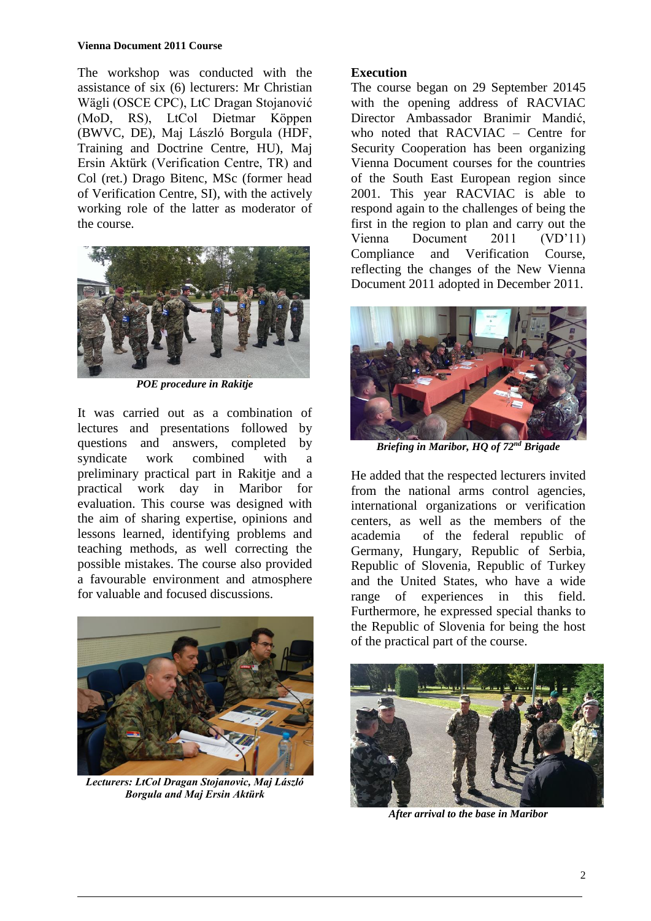#### **Vienna Document 2011 Course**

The workshop was conducted with the assistance of six (6) lecturers: Mr Christian Wägli (OSCE CPC), LtC Dragan Stojanović (MoD, RS), LtCol Dietmar Köppen (BWVC, DE), Maj László Borgula (HDF, Training and Doctrine Centre, HU), Maj Ersin Aktürk (Verification Centre, TR) and Col (ret.) Drago Bitenc, MSc (former head of Verification Centre, SI), with the actively working role of the latter as moderator of the course.



*POE procedure in Rakitje*

It was carried out as a combination of lectures and presentations followed by questions and answers, completed by syndicate work combined with a preliminary practical part in Rakitje and a practical work day in Maribor for evaluation. This course was designed with the aim of sharing expertise, opinions and lessons learned, identifying problems and teaching methods, as well correcting the possible mistakes. The course also provided a favourable environment and atmosphere for valuable and focused discussions.



*Lecturers: LtCol Dragan Stojanovic, Maj László Borgula and Maj Ersin Aktürk*

### **Execution**

The course began on 29 September 20145 with the opening address of RACVIAC Director Ambassador Branimir Mandić, who noted that RACVIAC – Centre for Security Cooperation has been organizing Vienna Document courses for the countries of the South East European region since 2001. This year RACVIAC is able to respond again to the challenges of being the first in the region to plan and carry out the Vienna Document 2011 (VD'11) Compliance and Verification Course, reflecting the changes of the New Vienna Document 2011 adopted in December 2011.



*Briefing in Maribor, HQ of 72nd Brigade*

He added that the respected lecturers invited from the national arms control agencies, international organizations or verification centers, as well as the members of the academia of the federal republic of Germany, Hungary, Republic of Serbia, Republic of Slovenia, Republic of Turkey and the United States, who have a wide range of experiences in this field. Furthermore, he expressed special thanks to the Republic of Slovenia for being the host of the practical part of the course.



*After arrival to the base in Maribor*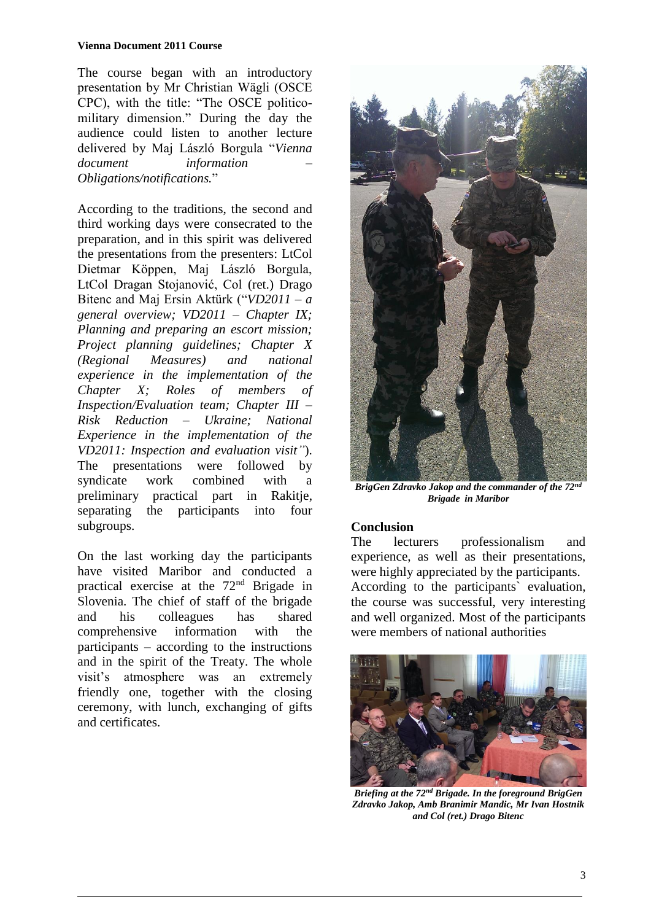The course began with an introductory presentation by Mr Christian Wägli (OSCE CPC), with the title: "The OSCE politicomilitary dimension." During the day the audience could listen to another lecture delivered by Maj László Borgula "*Vienna document information – Obligations/notifications.*"

According to the traditions, the second and third working days were consecrated to the preparation, and in this spirit was delivered the presentations from the presenters: LtCol Dietmar Köppen, Maj László Borgula, LtCol Dragan Stojanović, Col (ret.) Drago Bitenc and Maj Ersin Aktürk ("*VD2011 – a general overview; VD2011 – Chapter IX; Planning and preparing an escort mission; Project planning guidelines; Chapter X (Regional Measures) and national experience in the implementation of the Chapter X; Roles of members of Inspection/Evaluation team; Chapter III – Risk Reduction – Ukraine; National Experience in the implementation of the VD2011: Inspection and evaluation visit"*). The presentations were followed by syndicate work combined with a preliminary practical part in Rakitje, separating the participants into four subgroups.

On the last working day the participants have visited Maribor and conducted a practical exercise at the 72nd Brigade in Slovenia. The chief of staff of the brigade and his colleagues has shared comprehensive information with the participants – according to the instructions and in the spirit of the Treaty. The whole visit's atmosphere was an extremely friendly one, together with the closing ceremony, with lunch, exchanging of gifts and certificates.



*BrigGen Zdravko Jakop and the commander of the 72nd Brigade in Maribor*

## **Conclusion**

The lecturers professionalism and experience, as well as their presentations, were highly appreciated by the participants. According to the participants` evaluation, the course was successful, very interesting and well organized. Most of the participants were members of national authorities



*Briefing at the 72nd Brigade. In the foreground BrigGen Zdravko Jakop, Amb Branimir Mandic, Mr Ivan Hostnik and Col (ret.) Drago Bitenc*